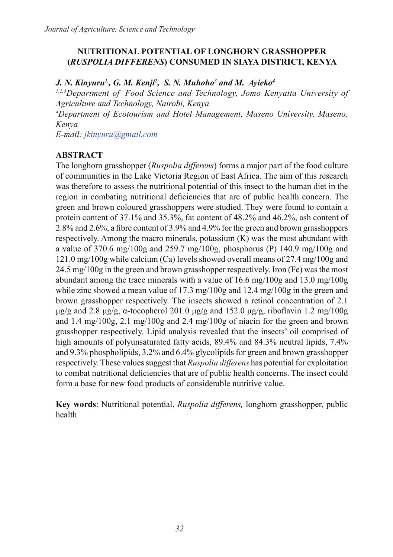# **NUTRITIONAL POTENTIAL OF LONGHORN GRASSHOPPER (***RUSPOLIA DIFFERENS***) CONSUMED IN SIAYA DISTRICT, KENYA**

# *J. N. Kinyuru1,, G. M. Kenji2 , S. N. Muhoho3 and M. Ayieko4*

*1,2,3Department of Food Science and Technology, Jomo Kenyatta University of Agriculture and Technology, Nairobi, Kenya*

*4 Department of Ecotourism and Hotel Management, Maseno University, Maseno, Kenya* 

*E-mail: jkinyuru@gmail.com*

# **ABSTRACT**

The longhorn grasshopper (*Ruspolia differens*) forms a major part of the food culture of communities in the Lake Victoria Region of East Africa. The aim of this research was therefore to assess the nutritional potential of this insect to the human diet in the region in combating nutritional deficiencies that are of public health concern. The green and brown coloured grasshoppers were studied. They were found to contain a protein content of 37.1% and 35.3%, fat content of 48.2% and 46.2%, ash content of 2.8% and 2.6%, a fibre content of 3.9% and 4.9% for the green and brown grasshoppers respectively. Among the macro minerals, potassium (K) was the most abundant with a value of 370.6 mg/100g and 259.7 mg/100g, phosphorus (P) 140.9 mg/100g and 121.0 mg/100g while calcium (Ca) levels showed overall means of 27.4 mg/100g and 24.5 mg/100g in the green and brown grasshopper respectively. Iron (Fe) was the most abundant among the trace minerals with a value of 16.6 mg/100g and 13.0 mg/100g while zinc showed a mean value of 17.3 mg/100g and 12.4 mg/100g in the green and brown grasshopper respectively. The insects showed a retinol concentration of 2.1 μg/g and 2.8 μg/g, α-tocopherol 201.0 μg/g and 152.0 μg/g, riboflavin 1.2 mg/100g and 1.4 mg/100g, 2.1 mg/100g and 2.4 mg/100g of niacin for the green and brown grasshopper respectively. Lipid analysis revealed that the insects' oil comprised of high amounts of polyunsaturated fatty acids, 89.4% and 84.3% neutral lipids, 7.4% and 9.3% phospholipids, 3.2% and 6.4% glycolipids for green and brown grasshopper respectively. These values suggest that *Ruspolia differens* has potential for exploitation to combat nutritional deficiencies that are of public health concerns. The insect could form a base for new food products of considerable nutritive value.

**Key words**: Nutritional potential, *Ruspolia differens,* longhorn grasshopper, public health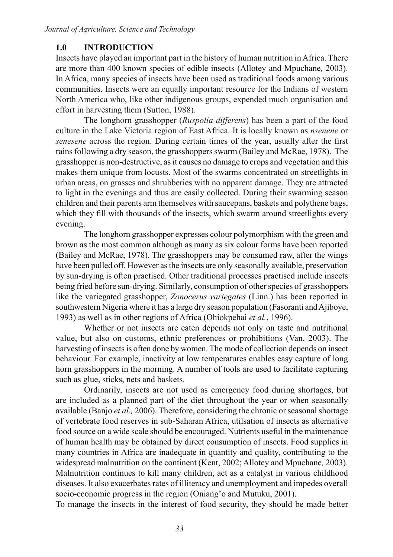# **1.0 INTRODUCTION**

Insects have played an important part in the history of human nutrition in Africa. There are more than 400 known species of edible insects (Allotey and Mpuchane*,* 2003). In Africa, many species of insects have been used as traditional foods among various communities. Insects were an equally important resource for the Indians of western North America who, like other indigenous groups, expended much organisation and effort in harvesting them (Sutton, 1988).

The longhorn grasshopper (*Ruspolia differens*) has been a part of the food culture in the Lake Victoria region of East Africa. It is locally known as *nsenene* or *senesene* across the region. During certain times of the year, usually after the first rains following a dry season, the grasshoppers swarm (Bailey and McRae, 1978). The grasshopper is non-destructive, as it causes no damage to crops and vegetation and this makes them unique from locusts. Most of the swarms concentrated on streetlights in urban areas, on grasses and shrubberies with no apparent damage. They are attracted to light in the evenings and thus are easily collected. During their swarming season children and their parents arm themselves with saucepans, baskets and polythene bags, which they fill with thousands of the insects, which swarm around streetlights every evening.

The longhorn grasshopper expresses colour polymorphism with the green and brown as the most common although as many as six colour forms have been reported (Bailey and McRae, 1978). The grasshoppers may be consumed raw, after the wings have been pulled off. However as the insects are only seasonally available, preservation by sun-drying is often practised. Other traditional processes practised include insects being fried before sun-drying. Similarly, consumption of other species of grasshoppers like the variegated grasshopper, *Zonocerus variegates* (Linn.) has been reported in southwestern Nigeria where it has a large dry season population (Fasoranti and Ajiboye, 1993) as well as in other regions of Africa (Ohiokpehai *et al.*, 1996).

Whether or not insects are eaten depends not only on taste and nutritional value, but also on customs, ethnic preferences or prohibitions (Van, 2003). The harvesting of insects is often done by women. The mode of collection depends on insect behaviour. For example, inactivity at low temperatures enables easy capture of long horn grasshoppers in the morning. A number of tools are used to facilitate capturing such as glue, sticks, nets and baskets.

Ordinarily, insects are not used as emergency food during shortages, but are included as a planned part of the diet throughout the year or when seasonally available (Banjo *et al.,* 2006). Therefore, considering the chronic or seasonal shortage of vertebrate food reserves in sub-Saharan Africa, utilsation of insects as alternative food source on a wide scale should be encouraged. Nutrients useful in the maintenance of human health may be obtained by direct consumption of insects. Food supplies in many countries in Africa are inadequate in quantity and quality, contributing to the widespread malnutrition on the continent (Kent, 2002; Allotey and Mpuchane*,* 2003). Malnutrition continues to kill many children, act as a catalyst in various childhood diseases. It also exacerbates rates of illiteracy and unemployment and impedes overall socio-economic progress in the region (Oniang'o and Mutuku, 2001).

To manage the insects in the interest of food security, they should be made better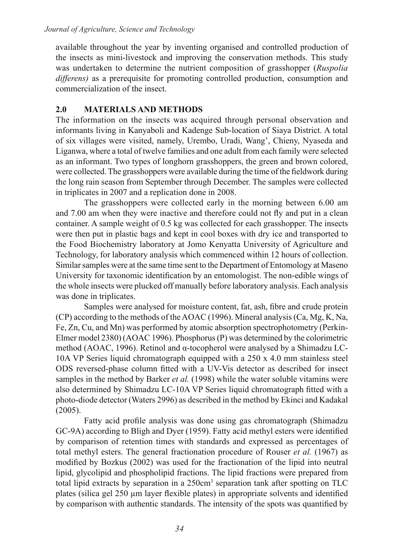available throughout the year by inventing organised and controlled production of the insects as mini-livestock and improving the conservation methods. This study was undertaken to determine the nutrient composition of grasshopper (*Ruspolia differens)* as a prerequisite for promoting controlled production, consumption and commercialization of the insect.

# **2.0 MATERIALS AND METHODS**

The information on the insects was acquired through personal observation and informants living in Kanyaboli and Kadenge Sub-location of Siaya District. A total of six villages were visited, namely, Urembo, Uradi, Wang', Chieny, Nyaseda and Liganwa, where a total of twelve families and one adult from each family were selected as an informant. Two types of longhorn grasshoppers, the green and brown colored, were collected. The grasshoppers were available during the time of the fieldwork during the long rain season from September through December. The samples were collected in triplicates in 2007 and a replication done in 2008.

The grasshoppers were collected early in the morning between 6.00 am and 7.00 am when they were inactive and therefore could not fly and put in a clean container. A sample weight of 0.5 kg was collected for each grasshopper. The insects were then put in plastic bags and kept in cool boxes with dry ice and transported to the Food Biochemistry laboratory at Jomo Kenyatta University of Agriculture and Technology, for laboratory analysis which commenced within 12 hours of collection. Similar samples were at the same time sent to the Department of Entomology at Maseno University for taxonomic identification by an entomologist. The non-edible wings of the whole insects were plucked off manually before laboratory analysis. Each analysis was done in triplicates.

Samples were analysed for moisture content, fat, ash, fibre and crude protein (CP) according to the methods of the AOAC (1996). Mineral analysis (Ca, Mg, K, Na, Fe, Zn, Cu, and Mn) was performed by atomic absorption spectrophotometry (Perkin-Elmer model 2380) (AOAC 1996). Phosphorus (P) was determined by the colorimetric method (AOAC, 1996). Retinol and α-tocopherol were analysed by a Shimadzu LC-10A VP Series liquid chromatograph equipped with a 250 x 4.0 mm stainless steel ODS reversed-phase column fitted with a UV-Vis detector as described for insect samples in the method by Barker *et al.* (1998) while the water soluble vitamins were also determined by Shimadzu LC-10A VP Series liquid chromatograph fitted with a photo-diode detector (Waters 2996) as described in the method by Ekinci and Kadakal (2005).

Fatty acid profile analysis was done using gas chromatograph (Shimadzu GC-9A) according to Bligh and Dyer (1959). Fatty acid methyl esters were identified by comparison of retention times with standards and expressed as percentages of total methyl esters. The general fractionation procedure of Rouser *et al.* (1967) as modified by Bozkus (2002) was used for the fractionation of the lipid into neutral lipid, glycolipid and phospholipid fractions. The lipid fractions were prepared from total lipid extracts by separation in a 250cm<sup>3</sup> separation tank after spotting on TLC plates (silica gel 250 µm layer flexible plates) in appropriate solvents and identified by comparison with authentic standards. The intensity of the spots was quantified by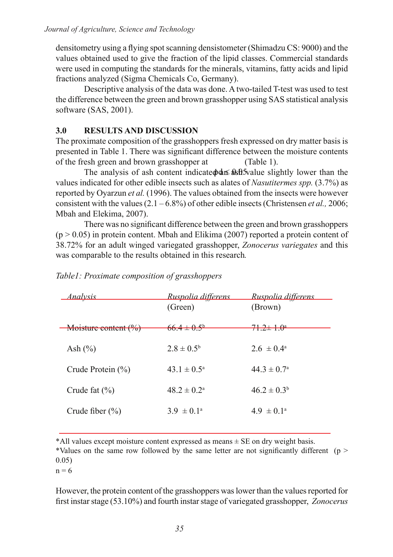densitometry using a flying spot scanning densistometer (Shimadzu CS: 9000) and the values obtained used to give the fraction of the lipid classes. Commercial standards were used in computing the standards for the minerals, vitamins, fatty acids and lipid fractions analyzed (Sigma Chemicals Co, Germany).

Descriptive analysis of the data was done. A two-tailed T-test was used to test the difference between the green and brown grasshopper using SAS statistical analysis software (SAS, 2001).

# **3.0 RESULTS AND DISCUSSION**

The proximate composition of the grasshoppers fresh expressed on dry matter basis is presented in Table 1. There was significant difference between the moisture contents of the fresh green and brown grasshopper at (Table 1).

The analysis of ash content indicate  $\phi$  and  $\phi$  as  $\phi$  and  $\phi$  and  $\phi$  and  $\phi$  and the  $\phi$ values indicated for other edible insects such as alates of *Nasutitermes spp.* (3.7%) as reported by Oyarzun *et al.* (1996). The values obtained from the insects were however consistent with the values (2.1 – 6.8%) of other edible insects (Christensen *et al.,* 2006; Mbah and Elekima, 2007).

There was no significant difference between the green and brown grasshoppers  $(p > 0.05)$  in protein content. Mbah and Elikima (2007) reported a protein content of 38.72% for an adult winged variegated grasshopper, *Zonocerus variegates* and this was comparable to the results obtained in this research*.*

| <u>Analysis</u>       | Ruspolia differens        | <u>Ruspolia differens</u>   |
|-----------------------|---------------------------|-----------------------------|
|                       | (Green)                   | (Brown)                     |
| Moisture content (%)  | $66.4 \pm 0.5^{\circ}$    | $71.2 + 1.0^{\circ}$        |
| Ash $(\% )$           | $2.8 \pm 0.5^{\circ}$     | $26 \pm 0.4^{\circ}$        |
| Crude Protein $(\% )$ | $43.1 \pm 0.5^{\circ}$    | 44 3 $\pm$ 0.7 <sup>a</sup> |
| Crude fat $(\% )$     | $48.2 \pm 0.2^{\text{a}}$ | $46.2 \pm 0.3^b$            |
| Crude fiber $(\% )$   | $3.9 \pm 0.1^{\circ}$     | $49 \pm 01^{\circ}$         |

## *Table1: Proximate composition of grasshoppers*

\*All values except moisture content expressed as means ± SE on dry weight basis.

\*Values on the same row followed by the same letter are not significantly different ( $p >$ 0.05)

 $n = 6$ 

However, the protein content of the grasshoppers was lower than the values reported for first instar stage (53.10%) and fourth instar stage of variegated grasshopper, *Zonocerus*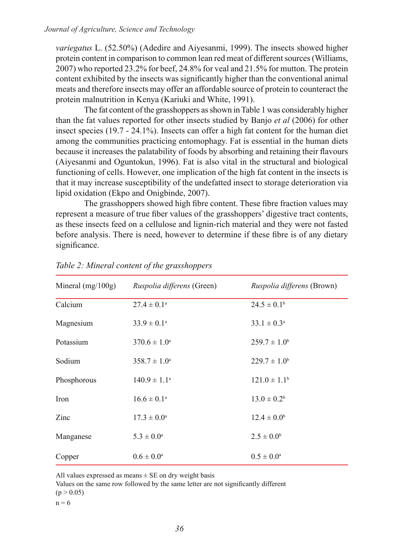*variegatus* L. (52.50%) (Adedire and Aiyesanmi, 1999). The insects showed higher protein content in comparison to common lean red meat of different sources (Williams, 2007) who reported 23.2% for beef, 24.8% for veal and 21.5% for mutton. The protein content exhibited by the insects was significantly higher than the conventional animal meats and therefore insects may offer an affordable source of protein to counteract the protein malnutrition in Kenya (Kariuki and White, 1991).

The fat content of the grasshoppers as shown in Table 1 was considerably higher than the fat values reported for other insects studied by Banjo *et al* (2006) for other insect species (19.7 - 24.1%). Insects can offer a high fat content for the human diet among the communities practicing entomophagy. Fat is essential in the human diets because it increases the palatability of foods by absorbing and retaining their flavours (Aiyesanmi and Oguntokun, 1996). Fat is also vital in the structural and biological functioning of cells. However, one implication of the high fat content in the insects is that it may increase susceptibility of the undefatted insect to storage deterioration via lipid oxidation (Ekpo and Onigbinde, 2007).

The grasshoppers showed high fibre content. These fibre fraction values may represent a measure of true fiber values of the grasshoppers' digestive tract contents, as these insects feed on a cellulose and lignin-rich material and they were not fasted before analysis. There is need, however to determine if these fibre is of any dietary significance.

| Mineral $(mg/100g)$ | <i>Ruspolia differens</i> (Green) | Ruspolia differens (Brown)   |
|---------------------|-----------------------------------|------------------------------|
| Calcium             | $27.4 \pm 0.1^{\circ}$            | $24.5 \pm 0.1^b$             |
| Magnesium           | $33.9 \pm 0.1^{\circ}$            | $33.1 \pm 0.3^{\circ}$       |
| Potassium           | $370.6 \pm 1.0^{\circ}$           | $259.7 \pm 1.0^b$            |
| Sodium              | $358.7 \pm 1.0^a$                 | $229.7 \pm 1.0^b$            |
| Phosphorous         | $140.9 \pm 1.1^{\circ}$           | $121.0 \pm 1.1$ <sup>b</sup> |
| Iron                | $16.6 \pm 0.1^{\circ}$            | $13.0 \pm 0.2^b$             |
| Zinc                | $17.3 \pm 0.0^{\rm a}$            | $12.4 \pm 0.0^b$             |
| Manganese           | $5.3 \pm 0.0^{\rm a}$             | $2.5 \pm 0.0^b$              |
| Copper              | $0.6 \pm 0.0^{\rm a}$             | $0.5 \pm 0.0^{\rm a}$        |

### *Table 2: Mineral content of the grasshoppers*

All values expressed as means  $\pm$  SE on dry weight basis

Values on the same row followed by the same letter are not significantly different  $(p > 0.05)$ 

 $n = 6$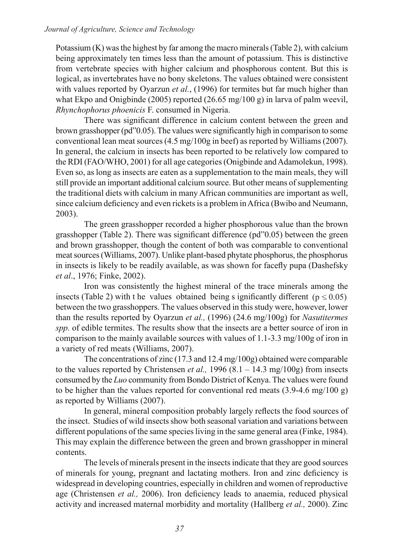Potassium (K) was the highest by far among the macro minerals (Table 2), with calcium being approximately ten times less than the amount of potassium. This is distinctive from vertebrate species with higher calcium and phosphorous content. But this is logical, as invertebrates have no bony skeletons. The values obtained were consistent with values reported by Oyarzun *et al.*, (1996) for termites but far much higher than what Ekpo and Onigbinde (2005) reported (26.65 mg/100 g) in larva of palm weevil, *Rhynchophorus phoenicis* F. consumed in Nigeria.

There was significant difference in calcium content between the green and brown grasshopper (pd"0.05). The values were significantly high in comparison to some conventional lean meat sources (4.5 mg/100g in beef) as reported by Williams (2007). In general, the calcium in insects has been reported to be relatively low compared to the RDI (FAO/WHO, 2001) for all age categories (Onigbinde and Adamolekun, 1998). Even so, as long as insects are eaten as a supplementation to the main meals, they will still provide an important additional calcium source. But other means of supplementing the traditional diets with calcium in many African communities are important as well, since calcium deficiency and even rickets is a problem in Africa (Bwibo and Neumann, 2003).

The green grasshopper recorded a higher phosphorous value than the brown grasshopper (Table 2). There was significant difference (pd"0.05) between the green and brown grasshopper, though the content of both was comparable to conventional meat sources (Williams, 2007). Unlike plant-based phytate phosphorus, the phosphorus in insects is likely to be readily available, as was shown for facefly pupa (Dashefsky *et al*., 1976; Finke, 2002).

Iron was consistently the highest mineral of the trace minerals among the insects (Table 2) with t he values obtained being s ignificantly different ( $p \le 0.05$ ) between the two grasshoppers. The values observed in this study were, however, lower than the results reported by Oyarzun *et al.,* (1996) (24.6 mg/100g) for *Nasutitermes spp.* of edible termites. The results show that the insects are a better source of iron in comparison to the mainly available sources with values of 1.1-3.3 mg/100g of iron in a variety of red meats (Williams, 2007).

The concentrations of zinc (17.3 and 12.4 mg/100g) obtained were comparable to the values reported by Christensen *et al.*,  $1996 (8.1 - 14.3 \text{ mg}/100 \text{g})$  from insects consumed by the *Luo* community from Bondo District of Kenya. The values were found to be higher than the values reported for conventional red meats (3.9-4.6 mg/100 g) as reported by Williams (2007).

In general, mineral composition probably largely reflects the food sources of the insect. Studies of wild insects show both seasonal variation and variations between different populations of the same species living in the same general area (Finke, 1984). This may explain the difference between the green and brown grasshopper in mineral contents.

The levels of minerals present in the insects indicate that they are good sources of minerals for young, pregnant and lactating mothers. Iron and zinc deficiency is widespread in developing countries, especially in children and women of reproductive age (Christensen *et al.,* 2006). Iron deficiency leads to anaemia, reduced physical activity and increased maternal morbidity and mortality (Hallberg *et al.,* 2000). Zinc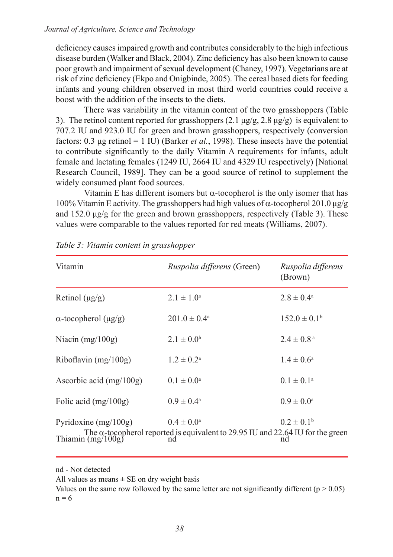deficiency causes impaired growth and contributes considerably to the high infectious disease burden (Walker and Black, 2004). Zinc deficiency has also been known to cause poor growth and impairment of sexual development (Chaney, 1997). Vegetarians are at risk of zinc deficiency (Ekpo and Onigbinde, 2005). The cereal based diets for feeding infants and young children observed in most third world countries could receive a boost with the addition of the insects to the diets.

There was variability in the vitamin content of the two grasshoppers (Table 3). The retinol content reported for grasshoppers  $(2.1 \mu g/g, 2.8 \mu g/g)$  is equivalent to 707.2 IU and 923.0 IU for green and brown grasshoppers, respectively (conversion factors: 0.3 μg retinol = 1 IU) (Barker *et al.*, 1998). These insects have the potential to contribute significantly to the daily Vitamin A requirements for infants, adult female and lactating females (1249 IU, 2664 IU and 4329 IU respectively) [National Research Council, 1989]. They can be a good source of retinol to supplement the widely consumed plant food sources.

Vitamin E has different isomers but  $\alpha$ -tocopherol is the only isomer that has 100% Vitamin E activity. The grasshoppers had high values of α-tocopherol 201.0 μg/g and  $152.0 \mu g/g$  for the green and brown grasshoppers, respectively (Table 3). These values were comparable to the values reported for red meats (Williams, 2007).

| Vitamin                           | Ruspolia differens (Green)                                                                                                        | Ruspolia differens<br>(Brown) |
|-----------------------------------|-----------------------------------------------------------------------------------------------------------------------------------|-------------------------------|
| Retinol $(\mu g/g)$               | $2.1 \pm 1.0^a$                                                                                                                   | $2.8 \pm 0.4^{\circ}$         |
| $\alpha$ -tocopherol ( $\mu$ g/g) | $201.0 \pm 0.4^{\circ}$                                                                                                           | $152.0 \pm 0.1^b$             |
| Niacin $(mg/100g)$                | $2.1 \pm 0.0^b$                                                                                                                   | $2.4 \pm 0.8^{\text{a}}$      |
| Riboflavin $(mg/100g)$            | $1.2 \pm 0.2^{\rm a}$                                                                                                             | $1.4 \pm 0.6^a$               |
| Ascorbic acid $(mg/100g)$         | $0.1 \pm 0.0^{\rm a}$                                                                                                             | $0.1 \pm 0.1^{\text{a}}$      |
| Folic acid $(mg/100g)$            | $0.9 \pm 0.4^{\circ}$                                                                                                             | $0.9 \pm 0.0^{\rm a}$         |
| Pyridoxine $(mg/100g)$            | $0.4 \pm 0.0^a$<br>The $\alpha$ -tocopherol reported is equivalent to 29.95 IU and 22.64 IU for the green<br>Thiamin (mg/100g) nd | $0.2 \pm 0.1^b$               |

|  | Table 3: Vitamin content in grasshopper |  |  |  |  |
|--|-----------------------------------------|--|--|--|--|
|--|-----------------------------------------|--|--|--|--|

nd - Not detected

All values as means  $\pm$  SE on dry weight basis

Values on the same row followed by the same letter are not significantly different ( $p > 0.05$ )  $n = 6$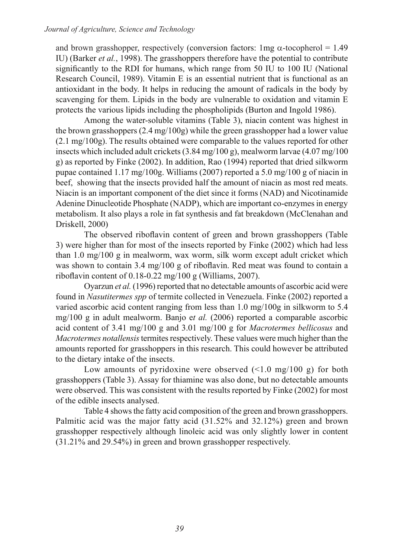and brown grasshopper, respectively (conversion factors:  $1mg \alpha$ -tocopherol = 1.49 IU) (Barker *et al.*, 1998). The grasshoppers therefore have the potential to contribute significantly to the RDI for humans, which range from 50 IU to 100 IU (National Research Council, 1989). Vitamin E is an essential nutrient that is functional as an antioxidant in the body. It helps in reducing the amount of radicals in the body by scavenging for them. Lipids in the body are vulnerable to oxidation and vitamin E protects the various lipids including the phospholipids (Burton and Ingold 1986).

Among the water-soluble vitamins (Table 3), niacin content was highest in the brown grasshoppers (2.4 mg/100g) while the green grasshopper had a lower value (2.1 mg/100g). The results obtained were comparable to the values reported for other insects which included adult crickets (3.84 mg/100 g), mealworm larvae (4.07 mg/100 g) as reported by Finke (2002). In addition, Rao (1994) reported that dried silkworm pupae contained 1.17 mg/100g. Williams (2007) reported a 5.0 mg/100 g of niacin in beef, showing that the insects provided half the amount of niacin as most red meats. Niacin is an important component of the diet since it forms (NAD) and Nicotinamide Adenine Dinucleotide Phosphate (NADP), which are important co-enzymes in energy metabolism. It also plays a role in fat synthesis and fat breakdown (McClenahan and Driskell, 2000)

The observed riboflavin content of green and brown grasshoppers (Table 3) were higher than for most of the insects reported by Finke (2002) which had less than 1.0 mg/100 g in mealworm, wax worm, silk worm except adult cricket which was shown to contain 3.4 mg/100 g of riboflavin. Red meat was found to contain a riboflavin content of 0.18-0.22 mg/100 g (Williams, 2007).

Oyarzun *et al.* (1996) reported that no detectable amounts of ascorbic acid were found in *Nasutitermes spp* of termite collected in Venezuela. Finke (2002) reported a varied ascorbic acid content ranging from less than 1.0 mg/100g in silkworm to 5.4 mg/100 g in adult mealworm. Banjo e*t al.* (2006) reported a comparable ascorbic acid content of 3.41 mg/100 g and 3.01 mg/100 g for *Macrotermes bellicosus* and *Macrotermes notallensis* termites respectively. These values were much higher than the amounts reported for grasshoppers in this research. This could however be attributed to the dietary intake of the insects.

Low amounts of pyridoxine were observed  $(\leq 1.0 \text{ mg}/100 \text{ g})$  for both grasshoppers (Table 3). Assay for thiamine was also done, but no detectable amounts were observed. This was consistent with the results reported by Finke (2002) for most of the edible insects analysed.

Table 4 shows the fatty acid composition of the green and brown grasshoppers. Palmitic acid was the major fatty acid (31.52% and 32.12%) green and brown grasshopper respectively although linoleic acid was only slightly lower in content (31.21% and 29.54%) in green and brown grasshopper respectively.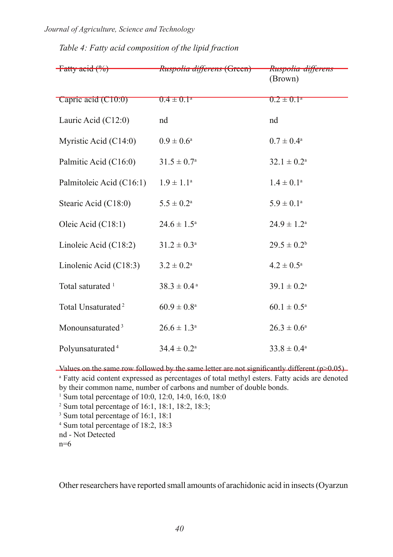#### *Journal of Agriculture, Science and Technology*

| $-$ Fatty acid $(%^{0})$       | Ruspolia differens (Green)  | Ruspolia differens<br>(Brown) |
|--------------------------------|-----------------------------|-------------------------------|
| Capric acid (C10:0)            | $0.4 \pm 0.1^{\circ}$       | $0.2 \pm 0.1^{\circ}$         |
| Lauric Acid (C12:0)            | nd                          | nd                            |
| Myristic Acid (C14:0)          | $0.9 \pm 0.6^{\text{a}}$    | $0.7 \pm 0.4^{\text{a}}$      |
| Palmitic Acid (C16:0)          | $31.5 \pm 0.7^{\rm a}$      | $32.1 \pm 0.2^a$              |
| Palmitoleic Acid (C16:1)       | $1.9 \pm 1.1^a$             | $1.4 \pm 0.1^a$               |
| Stearic Acid (C18:0)           | $5.5 \pm 0.2^{\rm a}$       | $5.9 \pm 0.1^a$               |
| Oleic Acid (C18:1)             | $24.6 \pm 1.5^{\circ}$      | $24.9 \pm 1.2^a$              |
| Linoleic Acid (C18:2)          | $31.2 \pm 0.3^a$            | $29.5 \pm 0.2^b$              |
| Linolenic Acid (C18:3)         | $3.2 \pm 0.2^a$             | $4.2 \pm 0.5^{\text{a}}$      |
| Total saturated <sup>1</sup>   | $38.3 \pm 0.4$ <sup>a</sup> | $39.1 \pm 0.2^a$              |
| Total Unsaturated <sup>2</sup> | $60.9 \pm 0.8^{\rm a}$      | $60.1 \pm 0.5^{\text{a}}$     |
| Monounsaturated <sup>3</sup>   | $26.6 \pm 1.3^a$            | $26.3 \pm 0.6^a$              |
| Polyunsaturated <sup>4</sup>   | $34.4 \pm 0.2^{\text{a}}$   | $33.8 \pm 0.4^{\circ}$        |

# *Table 4: Fatty acid composition of the lipid fraction*

Values on the same row followed by the same letter are not significantly different ( $p>0.05$ ) a Fatty acid content expressed as percentages of total methyl esters. Fatty acids are denoted by their common name, number of carbons and number of double bonds.

1 Sum total percentage of 10:0, 12:0, 14:0, 16:0, 18:0

2 Sum total percentage of 16:1, 18:1, 18:2, 18:3;

3 Sum total percentage of 16:1, 18:1

4 Sum total percentage of 18:2, 18:3

nd - Not Detected

 $n=6$ 

Other researchers have reported small amounts of arachidonic acid in insects (Oyarzun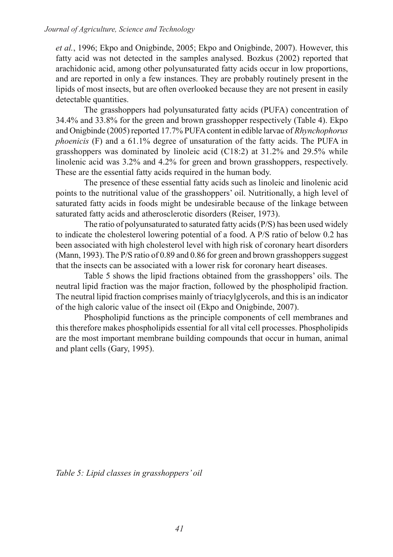*et al.*, 1996; Ekpo and Onigbinde, 2005; Ekpo and Onigbinde, 2007). However, this fatty acid was not detected in the samples analysed. Bozkus (2002) reported that arachidonic acid, among other polyunsaturated fatty acids occur in low proportions, and are reported in only a few instances. They are probably routinely present in the lipids of most insects, but are often overlooked because they are not present in easily detectable quantities.

The grasshoppers had polyunsaturated fatty acids (PUFA) concentration of 34.4% and 33.8% for the green and brown grasshopper respectively (Table 4). Ekpo and Onigbinde (2005) reported 17.7% PUFA content in edible larvae of *Rhynchophorus phoenicis* (F) and a 61.1% degree of unsaturation of the fatty acids. The PUFA in grasshoppers was dominated by linoleic acid (C18:2) at 31.2% and 29.5% while linolenic acid was 3.2% and 4.2% for green and brown grasshoppers, respectively. These are the essential fatty acids required in the human body.

The presence of these essential fatty acids such as linoleic and linolenic acid points to the nutritional value of the grasshoppers' oil. Nutritionally, a high level of saturated fatty acids in foods might be undesirable because of the linkage between saturated fatty acids and atherosclerotic disorders (Reiser, 1973).

The ratio of polyunsaturated to saturated fatty acids (P/S) has been used widely to indicate the cholesterol lowering potential of a food. A P/S ratio of below 0.2 has been associated with high cholesterol level with high risk of coronary heart disorders (Mann, 1993). The P/S ratio of 0.89 and 0.86 for green and brown grasshoppers suggest that the insects can be associated with a lower risk for coronary heart diseases.

Table 5 shows the lipid fractions obtained from the grasshoppers' oils. The neutral lipid fraction was the major fraction, followed by the phospholipid fraction. The neutral lipid fraction comprises mainly of triacylglycerols, and this is an indicator of the high caloric value of the insect oil (Ekpo and Onigbinde, 2007).

Phospholipid functions as the principle components of cell membranes and this therefore makes phospholipids essential for all vital cell processes. Phospholipids are the most important membrane building compounds that occur in human, animal and plant cells (Gary, 1995).

*Table 5: Lipid classes in grasshoppers' oil*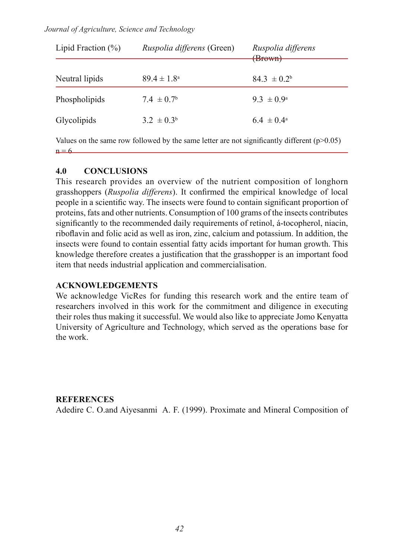#### *Journal of Agriculture, Science and Technology*

| Lipid Fraction $(\% )$                                                                        | <i>Ruspolia differens</i> (Green) | Ruspolia differens<br>(Brown) |  |
|-----------------------------------------------------------------------------------------------|-----------------------------------|-------------------------------|--|
| Neutral lipids                                                                                | $89.4 \pm 1.8^{\circ}$            | $84.3 \pm 0.2^b$              |  |
|                                                                                               |                                   |                               |  |
| Phospholipids                                                                                 | $7.4 \pm 0.7^{\rm b}$             | $93 \pm 0.9^{\circ}$          |  |
| Glycolipids                                                                                   | $3.2 \pm 0.3^b$                   | $64 \pm 04^{\circ}$           |  |
| Values on the same row followed by the same letter are not significantly different $(p>0.05)$ |                                   |                               |  |

### **4.0 CONCLUSIONS**

 $n = 6$ 

This research provides an overview of the nutrient composition of longhorn grasshoppers (*Ruspolia differens*). It confirmed the empirical knowledge of local people in a scientific way. The insects were found to contain significant proportion of proteins, fats and other nutrients. Consumption of 100 grams of the insects contributes significantly to the recommended daily requirements of retinol, á-tocopherol, niacin, riboflavin and folic acid as well as iron, zinc, calcium and potassium. In addition, the insects were found to contain essential fatty acids important for human growth. This knowledge therefore creates a justification that the grasshopper is an important food item that needs industrial application and commercialisation.

### **ACKNOWLEDGEMENTS**

We acknowledge VicRes for funding this research work and the entire team of researchers involved in this work for the commitment and diligence in executing their roles thus making it successful. We would also like to appreciate Jomo Kenyatta University of Agriculture and Technology, which served as the operations base for the work.

### **REFERENCES**

Adedire C. O.and Aiyesanmi A. F. (1999). Proximate and Mineral Composition of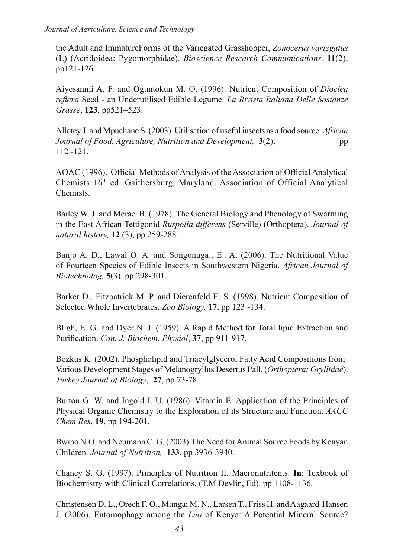the Adult and ImmatureForms of the Variegated Grasshopper, *Zonocerus variegatus* (L) (Acridoidea: Pygomorphidae). *Bioscience Research Communications,* **11**(2), pp121-126.

Aiyesanmi A. F. and Oguntokun M. O. (1996). Nutrient Composition of *Dioclea reflexa* Seed - an Underutilised Edible Legume. *La Rivista Italiana Delle Sostanze Grasse*, **123**, pp521–523.

Allotey J. and Mpuchane S. (2003). Utilisation of useful insects as a food source. *African Journal of Food, Agriculure, Nutrition and Development,* 3(2), pp 112 -121.

AOAC (1996). Official Methods of Analysis of the Association of Official Analytical Chemists 16<sup>th</sup> ed. Gaithersburg, Maryland, Association of Official Analytical Chemists.

Bailey W. J. and Mcrae B. (1978). The General Biology and Phenology of Swarming in the East African Tettigonid *Ruspolia differens* (Serville) (Orthoptera). *Journal of natural history,* **12** (3), pp 259-288.

Banjo A. D., Lawal O. A. and Songonuga,, E.. A. (2006). The Nutritional Value of Fourteen Species of Edible Insects in Southwestern Nigeria. *African Journal of Biotechnolog,* **5**(3), pp 298-301.

Barker D., Fitzpatrick M. P. and Dierenfeld E. S. (1998). Nutrient Composition of Selected Whole Invertebrates. *Zoo Biology,* **17**, pp 123 -134.

Bligh, E. G. and Dyer N. J. (1959). A Rapid Method for Total lipid Extraction and Purification. *Can. J. Biochem. Physiol*, **37**, pp 911-917.

Bozkus K. (2002). Phospholipid and Triacylglycerol Fatty Acid Compositions from Various Development Stages of Melanogryllus Desertus Pall. (*Orthoptera: Gryllidae*). *Turkey Journal of Biology*, **27**, pp 73-78.

Burton G. W. and Ingold I. U. (1986). Vitamin E: Application of the Principles of Physical Organic Chemistry to the Exploration of its Structure and Function. *AACC Chem Res*, **19**, pp 194-201.

Bwibo N.O. and Neumann C. G. (2003).The Need for Animal Source Foods by Kenyan Children. *Journal of Nutrition,* **133**, pp 3936-3940.

Chaney S. G. (1997). Principles of Nutrition II. Macronutritents. **In**: Texbook of Biochemistry with Clinical Correlations. (T.M Devlin, Ed). pp 1108-1136.

Christensen D. L., Orech F. O., Mungai M. N., Larsen T., Friss H. and Aagaard-Hansen J. (2006). Entomophagy among the *Luo* of Kenya: A Potential Mineral Source?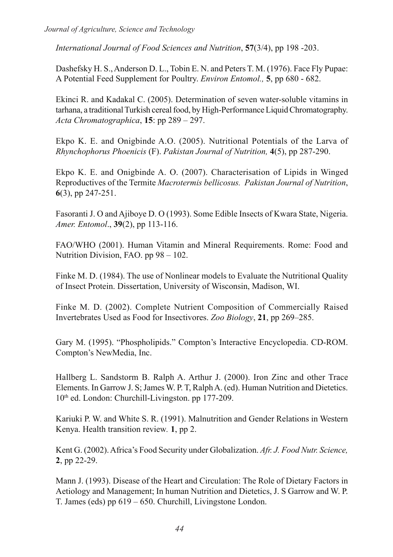*International Journal of Food Sciences and Nutrition*, **57**(3/4), pp 198 -203.

Dashefsky H. S., Anderson D. L., Tobin E. N. and Peters T. M. (1976). Face Fly Pupae: A Potential Feed Supplement for Poultry. *Environ Entomol.,* **5**, pp 680 - 682.

Ekinci R. and Kadakal C. (2005). Determination of seven water-soluble vitamins in tarhana, a traditional Turkish cereal food, by High-Performance Liquid Chromatography. *Acta Chromatographica*, **15**: pp 289 – 297.

Ekpo K. E. and Onigbinde A.O. (2005). Nutritional Potentials of the Larva of *Rhynchophorus Phoenicis* (F). *Pakistan Journal of Nutrition,* **4**(5), pp 287-290.

Ekpo K. E. and Onigbinde A. O. (2007). Characterisation of Lipids in Winged Reproductives of the Termite *Macrotermis bellicosus. Pakistan Journal of Nutrition*, **6**(3), pp 247-251.

Fasoranti J. O and Ajiboye D. O (1993). Some Edible Insects of Kwara State, Nigeria. *Amer. Entomol*., **39**(2), pp 113-116.

FAO/WHO (2001). Human Vitamin and Mineral Requirements. Rome: Food and Nutrition Division, FAO. pp 98 – 102.

Finke M. D. (1984). The use of Nonlinear models to Evaluate the Nutritional Quality of Insect Protein. Dissertation, University of Wisconsin, Madison, WI.

Finke M. D. (2002). Complete Nutrient Composition of Commercially Raised Invertebrates Used as Food for Insectivores. *Zoo Biology*, **21**, pp 269–285.

Gary M. (1995). "Phospholipids." Compton's Interactive Encyclopedia. CD-ROM. Compton's NewMedia, Inc.

Hallberg L. Sandstorm B. Ralph A. Arthur J. (2000). Iron Zinc and other Trace Elements. In Garrow J. S; James W. P. T, Ralph A. (ed). Human Nutrition and Dietetics. 10th ed. London: Churchill-Livingston. pp 177-209.

Kariuki P. W. and White S. R. (1991). Malnutrition and Gender Relations in Western Kenya. Health transition review*.* **1**, pp 2.

Kent G. (2002). Africa's Food Security under Globalization. *Afr. J. Food Nutr. Science,* **2**, pp 22-29.

Mann J. (1993). Disease of the Heart and Circulation: The Role of Dietary Factors in Aetiology and Management; In human Nutrition and Dietetics, J. S Garrow and W. P. T. James (eds) pp 619 – 650. Churchill, Livingstone London.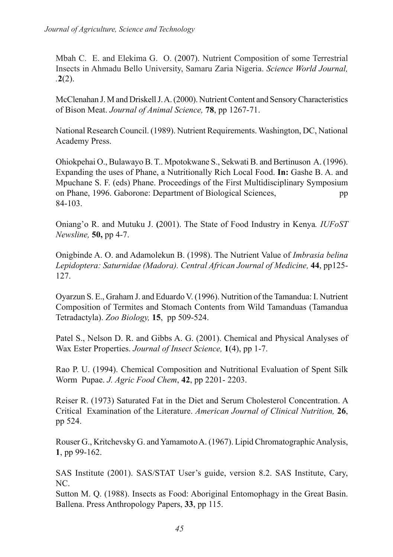Mbah C. E. and Elekima G. O. (2007). Nutrient Composition of some Terrestrial Insects in Ahmadu Bello University, Samaru Zaria Nigeria. *Science World Journal, .***2**(2).

McClenahan J. M and Driskell J. A. (2000). Nutrient Content and Sensory Characteristics of Bison Meat. *Journal of Animal Science,* **78**, pp 1267-71.

National Research Council. (1989). Nutrient Requirements. Washington, DC, National Academy Press.

Ohiokpehai O., Bulawayo B. T.. Mpotokwane S., Sekwati B. and Bertinuson A. (1996). Expanding the uses of Phane, a Nutritionally Rich Local Food. **In:** Gashe B. A. and Mpuchane S. F. (eds) Phane. Proceedings of the First Multidisciplinary Symposium on Phane, 1996. Gaborone: Department of Biological Sciences, pp 84-103.

Oniang'o R. and Mutuku J. **(**2001). The State of Food Industry in Kenya*. IUFoST Newsline,* **50,** pp 4-7.

Onigbinde A. O. and Adamolekun B. (1998). The Nutrient Value of *Imbrasia belina Lepidoptera: Saturnidae (Madora). Central African Journal of Medicine,* **44**, pp125- 127.

Oyarzun S. E., Graham J. and Eduardo V. (1996). Nutrition of the Tamandua: I. Nutrient Composition of Termites and Stomach Contents from Wild Tamanduas (Tamandua Tetradactyla). *Zoo Biology,* **15**,pp 509-524.

Patel S., Nelson D. R. and Gibbs A. G. (2001). Chemical and Physical Analyses of Wax Ester Properties. *Journal of Insect Science,* **1**(4), pp 1-7.

Rao P. U. (1994). Chemical Composition and Nutritional Evaluation of Spent Silk Worm Pupae. *J. Agric Food Chem*, **42**, pp 2201- 2203.

Reiser R. (1973) Saturated Fat in the Diet and Serum Cholesterol Concentration. A Critical Examination of the Literature. *American Journal of Clinical Nutrition,* **26**, pp 524.

Rouser G., Kritchevsky G. and Yamamoto A. (1967). Lipid Chromatographic Analysis, **1**, pp 99-162.

SAS Institute (2001). SAS/STAT User's guide, version 8.2. SAS Institute, Cary, NC.

Sutton M. Q. (1988). Insects as Food: Aboriginal Entomophagy in the Great Basin. Ballena. Press Anthropology Papers, **33**, pp 115.